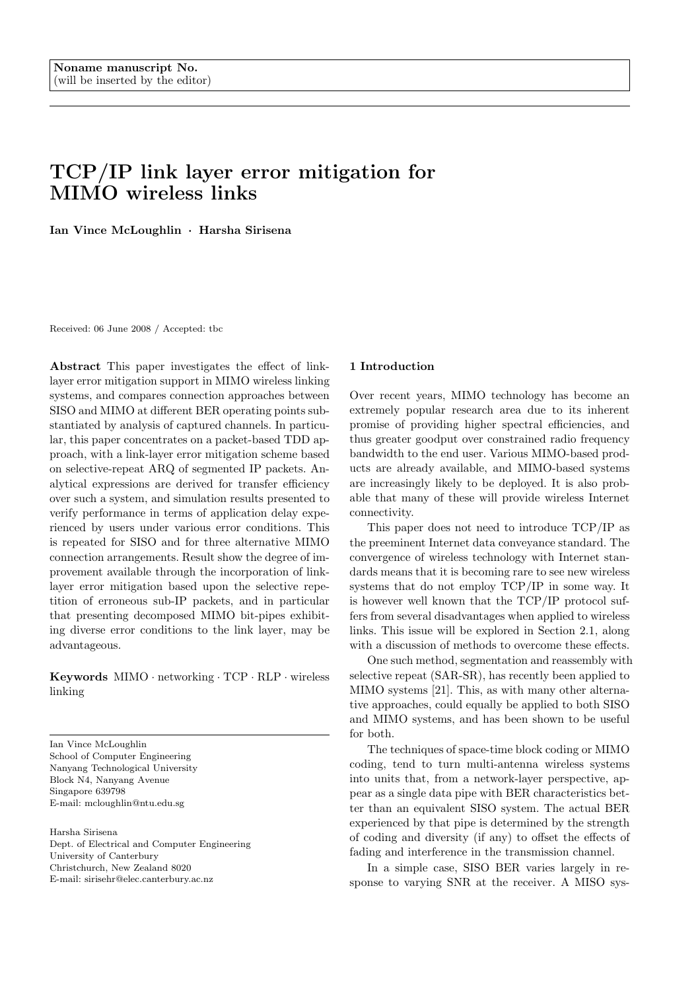# TCP/IP link layer error mitigation for MIMO wireless links

Ian Vince McLoughlin · Harsha Sirisena

Received: 06 June 2008 / Accepted: tbc

Abstract This paper investigates the effect of linklayer error mitigation support in MIMO wireless linking systems, and compares connection approaches between SISO and MIMO at different BER operating points substantiated by analysis of captured channels. In particular, this paper concentrates on a packet-based TDD approach, with a link-layer error mitigation scheme based on selective-repeat ARQ of segmented IP packets. Analytical expressions are derived for transfer efficiency over such a system, and simulation results presented to verify performance in terms of application delay experienced by users under various error conditions. This is repeated for SISO and for three alternative MIMO connection arrangements. Result show the degree of improvement available through the incorporation of linklayer error mitigation based upon the selective repetition of erroneous sub-IP packets, and in particular that presenting decomposed MIMO bit-pipes exhibiting diverse error conditions to the link layer, may be advantageous.

Keywords MIMO · networking · TCP · RLP · wireless linking

Ian Vince McLoughlin School of Computer Engineering Nanyang Technological University Block N4, Nanyang Avenue Singapore 639798 E-mail: mcloughlin@ntu.edu.sg

Harsha Sirisena Dept. of Electrical and Computer Engineering University of Canterbury Christchurch, New Zealand 8020 E-mail: sirisehr@elec.canterbury.ac.nz

## 1 Introduction

Over recent years, MIMO technology has become an extremely popular research area due to its inherent promise of providing higher spectral efficiencies, and thus greater goodput over constrained radio frequency bandwidth to the end user. Various MIMO-based products are already available, and MIMO-based systems are increasingly likely to be deployed. It is also probable that many of these will provide wireless Internet connectivity.

This paper does not need to introduce TCP/IP as the preeminent Internet data conveyance standard. The convergence of wireless technology with Internet standards means that it is becoming rare to see new wireless systems that do not employ TCP/IP in some way. It is however well known that the TCP/IP protocol suffers from several disadvantages when applied to wireless links. This issue will be explored in Section 2.1, along with a discussion of methods to overcome these effects.

One such method, segmentation and reassembly with selective repeat (SAR-SR), has recently been applied to MIMO systems [21]. This, as with many other alternative approaches, could equally be applied to both SISO and MIMO systems, and has been shown to be useful for both.

The techniques of space-time block coding or MIMO coding, tend to turn multi-antenna wireless systems into units that, from a network-layer perspective, appear as a single data pipe with BER characteristics better than an equivalent SISO system. The actual BER experienced by that pipe is determined by the strength of coding and diversity (if any) to offset the effects of fading and interference in the transmission channel.

In a simple case, SISO BER varies largely in response to varying SNR at the receiver. A MISO sys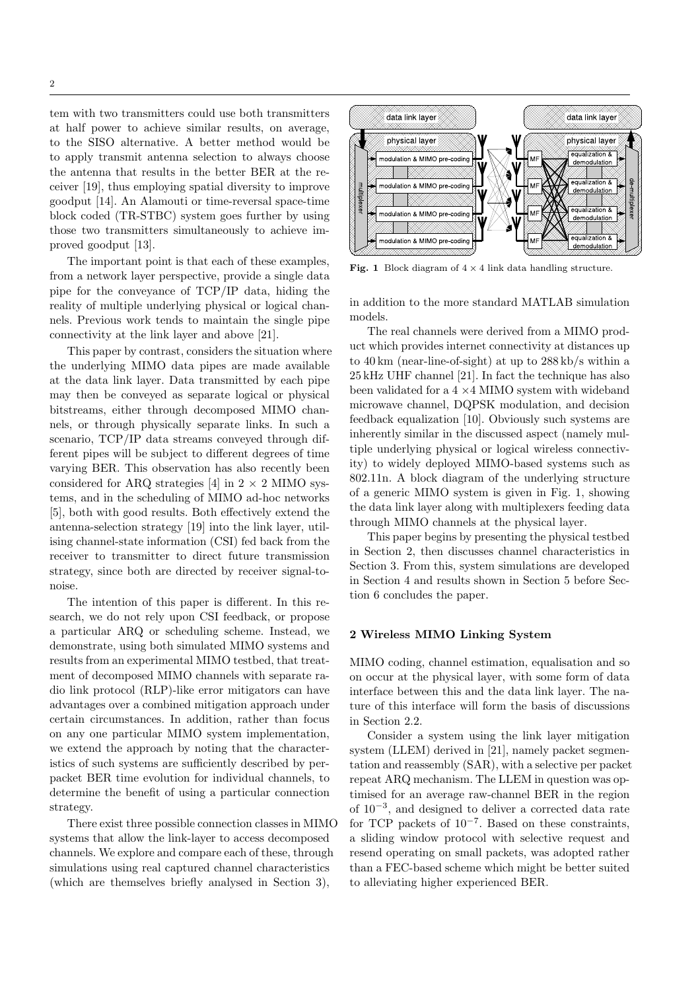tem with two transmitters could use both transmitters at half power to achieve similar results, on average, to the SISO alternative. A better method would be to apply transmit antenna selection to always choose the antenna that results in the better BER at the receiver [19], thus employing spatial diversity to improve goodput [14]. An Alamouti or time-reversal space-time block coded (TR-STBC) system goes further by using those two transmitters simultaneously to achieve improved goodput [13].

The important point is that each of these examples, from a network layer perspective, provide a single data pipe for the conveyance of TCP/IP data, hiding the reality of multiple underlying physical or logical channels. Previous work tends to maintain the single pipe connectivity at the link layer and above [21].

This paper by contrast, considers the situation where the underlying MIMO data pipes are made available at the data link layer. Data transmitted by each pipe may then be conveyed as separate logical or physical bitstreams, either through decomposed MIMO channels, or through physically separate links. In such a scenario, TCP/IP data streams conveyed through different pipes will be subject to different degrees of time varying BER. This observation has also recently been considered for ARQ strategies [4] in  $2 \times 2$  MIMO systems, and in the scheduling of MIMO ad-hoc networks [5], both with good results. Both effectively extend the antenna-selection strategy [19] into the link layer, utilising channel-state information (CSI) fed back from the receiver to transmitter to direct future transmission strategy, since both are directed by receiver signal-tonoise.

The intention of this paper is different. In this research, we do not rely upon CSI feedback, or propose a particular ARQ or scheduling scheme. Instead, we demonstrate, using both simulated MIMO systems and results from an experimental MIMO testbed, that treatment of decomposed MIMO channels with separate radio link protocol (RLP)-like error mitigators can have advantages over a combined mitigation approach under certain circumstances. In addition, rather than focus on any one particular MIMO system implementation, we extend the approach by noting that the characteristics of such systems are sufficiently described by perpacket BER time evolution for individual channels, to determine the benefit of using a particular connection strategy.

There exist three possible connection classes in MIMO systems that allow the link-layer to access decomposed channels. We explore and compare each of these, through simulations using real captured channel characteristics (which are themselves briefly analysed in Section 3),



Fig. 1 Block diagram of  $4 \times 4$  link data handling structure.

in addition to the more standard MATLAB simulation models.

The real channels were derived from a MIMO product which provides internet connectivity at distances up to 40 km (near-line-of-sight) at up to 288 kb/s within a 25 kHz UHF channel [21]. In fact the technique has also been validated for a 4 ×4 MIMO system with wideband microwave channel, DQPSK modulation, and decision feedback equalization [10]. Obviously such systems are inherently similar in the discussed aspect (namely multiple underlying physical or logical wireless connectivity) to widely deployed MIMO-based systems such as 802.11n. A block diagram of the underlying structure of a generic MIMO system is given in Fig. 1, showing the data link layer along with multiplexers feeding data through MIMO channels at the physical layer.

This paper begins by presenting the physical testbed in Section 2, then discusses channel characteristics in Section 3. From this, system simulations are developed in Section 4 and results shown in Section 5 before Section 6 concludes the paper.

# 2 Wireless MIMO Linking System

MIMO coding, channel estimation, equalisation and so on occur at the physical layer, with some form of data interface between this and the data link layer. The nature of this interface will form the basis of discussions in Section 2.2.

Consider a system using the link layer mitigation system (LLEM) derived in [21], namely packet segmentation and reassembly (SAR), with a selective per packet repeat ARQ mechanism. The LLEM in question was optimised for an average raw-channel BER in the region of 10<sup>−</sup><sup>3</sup> , and designed to deliver a corrected data rate for TCP packets of 10<sup>−</sup><sup>7</sup> . Based on these constraints, a sliding window protocol with selective request and resend operating on small packets, was adopted rather than a FEC-based scheme which might be better suited to alleviating higher experienced BER.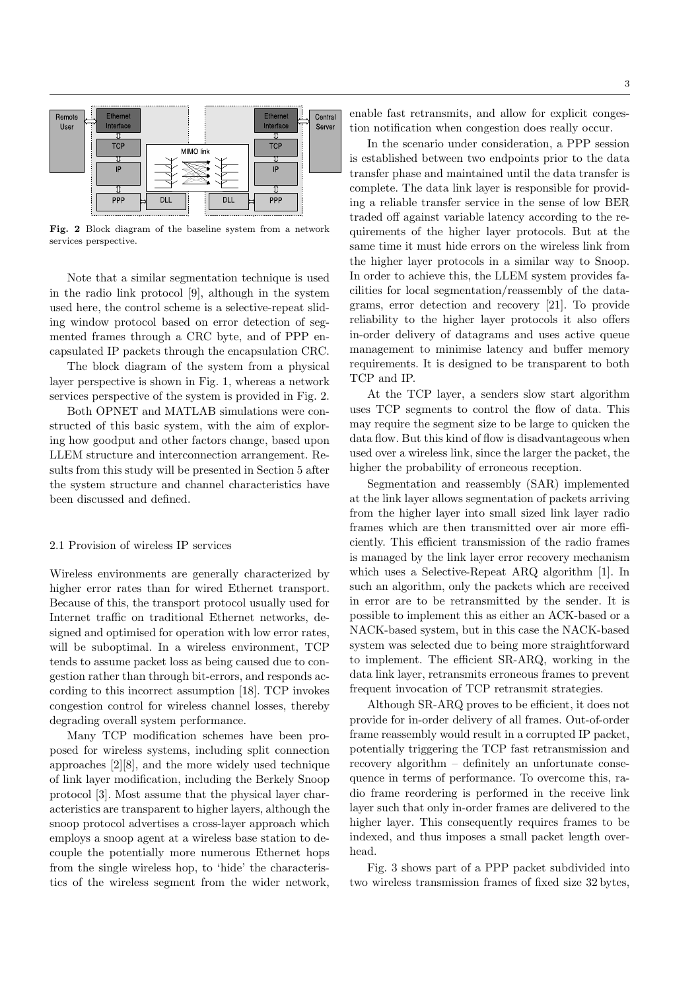

Fig. 2 Block diagram of the baseline system from a network services perspective.

Note that a similar segmentation technique is used in the radio link protocol [9], although in the system used here, the control scheme is a selective-repeat sliding window protocol based on error detection of segmented frames through a CRC byte, and of PPP encapsulated IP packets through the encapsulation CRC.

The block diagram of the system from a physical layer perspective is shown in Fig. 1, whereas a network services perspective of the system is provided in Fig. 2.

Both OPNET and MATLAB simulations were constructed of this basic system, with the aim of exploring how goodput and other factors change, based upon LLEM structure and interconnection arrangement. Results from this study will be presented in Section 5 after the system structure and channel characteristics have been discussed and defined.

# 2.1 Provision of wireless IP services

Wireless environments are generally characterized by higher error rates than for wired Ethernet transport. Because of this, the transport protocol usually used for Internet traffic on traditional Ethernet networks, designed and optimised for operation with low error rates, will be suboptimal. In a wireless environment, TCP tends to assume packet loss as being caused due to congestion rather than through bit-errors, and responds according to this incorrect assumption [18]. TCP invokes congestion control for wireless channel losses, thereby degrading overall system performance.

Many TCP modification schemes have been proposed for wireless systems, including split connection approaches [2][8], and the more widely used technique of link layer modification, including the Berkely Snoop protocol [3]. Most assume that the physical layer characteristics are transparent to higher layers, although the snoop protocol advertises a cross-layer approach which employs a snoop agent at a wireless base station to decouple the potentially more numerous Ethernet hops from the single wireless hop, to 'hide' the characteristics of the wireless segment from the wider network,

enable fast retransmits, and allow for explicit congestion notification when congestion does really occur.

In the scenario under consideration, a PPP session is established between two endpoints prior to the data transfer phase and maintained until the data transfer is complete. The data link layer is responsible for providing a reliable transfer service in the sense of low BER traded off against variable latency according to the requirements of the higher layer protocols. But at the same time it must hide errors on the wireless link from the higher layer protocols in a similar way to Snoop. In order to achieve this, the LLEM system provides facilities for local segmentation/reassembly of the datagrams, error detection and recovery [21]. To provide reliability to the higher layer protocols it also offers in-order delivery of datagrams and uses active queue management to minimise latency and buffer memory requirements. It is designed to be transparent to both TCP and IP.

At the TCP layer, a senders slow start algorithm uses TCP segments to control the flow of data. This may require the segment size to be large to quicken the data flow. But this kind of flow is disadvantageous when used over a wireless link, since the larger the packet, the higher the probability of erroneous reception.

Segmentation and reassembly (SAR) implemented at the link layer allows segmentation of packets arriving from the higher layer into small sized link layer radio frames which are then transmitted over air more efficiently. This efficient transmission of the radio frames is managed by the link layer error recovery mechanism which uses a Selective-Repeat ARQ algorithm [1]. In such an algorithm, only the packets which are received in error are to be retransmitted by the sender. It is possible to implement this as either an ACK-based or a NACK-based system, but in this case the NACK-based system was selected due to being more straightforward to implement. The efficient SR-ARQ, working in the data link layer, retransmits erroneous frames to prevent frequent invocation of TCP retransmit strategies.

Although SR-ARQ proves to be efficient, it does not provide for in-order delivery of all frames. Out-of-order frame reassembly would result in a corrupted IP packet, potentially triggering the TCP fast retransmission and recovery algorithm – definitely an unfortunate consequence in terms of performance. To overcome this, radio frame reordering is performed in the receive link layer such that only in-order frames are delivered to the higher layer. This consequently requires frames to be indexed, and thus imposes a small packet length overhead.

Fig. 3 shows part of a PPP packet subdivided into two wireless transmission frames of fixed size 32 bytes,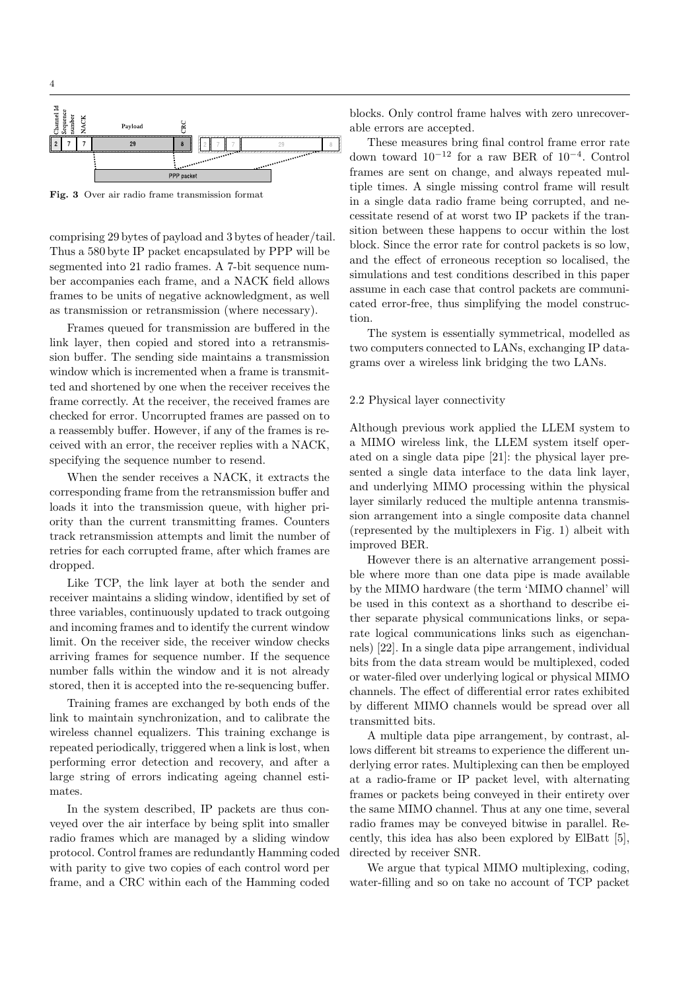

Fig. 3 Over air radio frame transmission format

4

comprising 29 bytes of payload and 3 bytes of header/tail. Thus a 580 byte IP packet encapsulated by PPP will be segmented into 21 radio frames. A 7-bit sequence number accompanies each frame, and a NACK field allows frames to be units of negative acknowledgment, as well as transmission or retransmission (where necessary).

Frames queued for transmission are buffered in the link layer, then copied and stored into a retransmission buffer. The sending side maintains a transmission window which is incremented when a frame is transmitted and shortened by one when the receiver receives the frame correctly. At the receiver, the received frames are checked for error. Uncorrupted frames are passed on to a reassembly buffer. However, if any of the frames is received with an error, the receiver replies with a NACK, specifying the sequence number to resend.

When the sender receives a NACK, it extracts the corresponding frame from the retransmission buffer and loads it into the transmission queue, with higher priority than the current transmitting frames. Counters track retransmission attempts and limit the number of retries for each corrupted frame, after which frames are dropped.

Like TCP, the link layer at both the sender and receiver maintains a sliding window, identified by set of three variables, continuously updated to track outgoing and incoming frames and to identify the current window limit. On the receiver side, the receiver window checks arriving frames for sequence number. If the sequence number falls within the window and it is not already stored, then it is accepted into the re-sequencing buffer.

Training frames are exchanged by both ends of the link to maintain synchronization, and to calibrate the wireless channel equalizers. This training exchange is repeated periodically, triggered when a link is lost, when performing error detection and recovery, and after a large string of errors indicating ageing channel estimates.

In the system described, IP packets are thus conveyed over the air interface by being split into smaller radio frames which are managed by a sliding window protocol. Control frames are redundantly Hamming coded with parity to give two copies of each control word per frame, and a CRC within each of the Hamming coded

blocks. Only control frame halves with zero unrecoverable errors are accepted.

These measures bring final control frame error rate down toward  $10^{-12}$  for a raw BER of  $10^{-4}$ . Control frames are sent on change, and always repeated multiple times. A single missing control frame will result in a single data radio frame being corrupted, and necessitate resend of at worst two IP packets if the transition between these happens to occur within the lost block. Since the error rate for control packets is so low, and the effect of erroneous reception so localised, the simulations and test conditions described in this paper assume in each case that control packets are communicated error-free, thus simplifying the model construction.

The system is essentially symmetrical, modelled as two computers connected to LANs, exchanging IP datagrams over a wireless link bridging the two LANs.

# 2.2 Physical layer connectivity

Although previous work applied the LLEM system to a MIMO wireless link, the LLEM system itself operated on a single data pipe [21]: the physical layer presented a single data interface to the data link layer, and underlying MIMO processing within the physical layer similarly reduced the multiple antenna transmission arrangement into a single composite data channel (represented by the multiplexers in Fig. 1) albeit with improved BER.

However there is an alternative arrangement possible where more than one data pipe is made available by the MIMO hardware (the term 'MIMO channel' will be used in this context as a shorthand to describe either separate physical communications links, or separate logical communications links such as eigenchannels) [22]. In a single data pipe arrangement, individual bits from the data stream would be multiplexed, coded or water-filed over underlying logical or physical MIMO channels. The effect of differential error rates exhibited by different MIMO channels would be spread over all transmitted bits.

A multiple data pipe arrangement, by contrast, allows different bit streams to experience the different underlying error rates. Multiplexing can then be employed at a radio-frame or IP packet level, with alternating frames or packets being conveyed in their entirety over the same MIMO channel. Thus at any one time, several radio frames may be conveyed bitwise in parallel. Recently, this idea has also been explored by ElBatt [5], directed by receiver SNR.

We argue that typical MIMO multiplexing, coding, water-filling and so on take no account of TCP packet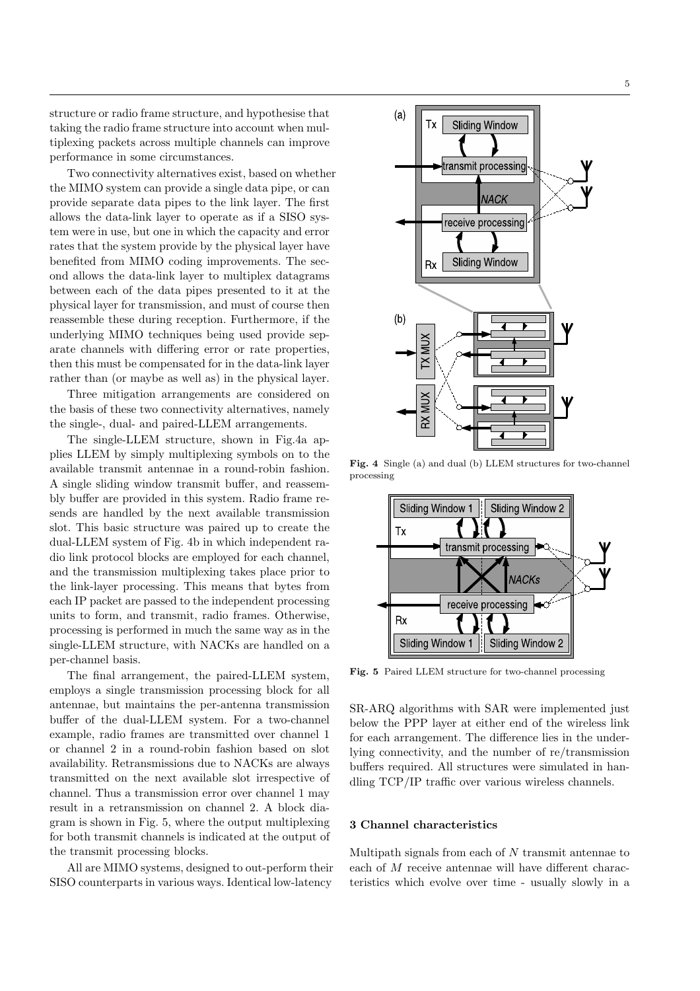structure or radio frame structure, and hypothesise that taking the radio frame structure into account when multiplexing packets across multiple channels can improve performance in some circumstances.

Two connectivity alternatives exist, based on whether the MIMO system can provide a single data pipe, or can provide separate data pipes to the link layer. The first allows the data-link layer to operate as if a SISO system were in use, but one in which the capacity and error rates that the system provide by the physical layer have benefited from MIMO coding improvements. The second allows the data-link layer to multiplex datagrams between each of the data pipes presented to it at the physical layer for transmission, and must of course then reassemble these during reception. Furthermore, if the underlying MIMO techniques being used provide separate channels with differing error or rate properties, then this must be compensated for in the data-link layer rather than (or maybe as well as) in the physical layer.

Three mitigation arrangements are considered on the basis of these two connectivity alternatives, namely the single-, dual- and paired-LLEM arrangements.

The single-LLEM structure, shown in Fig.4a applies LLEM by simply multiplexing symbols on to the available transmit antennae in a round-robin fashion. A single sliding window transmit buffer, and reassembly buffer are provided in this system. Radio frame resends are handled by the next available transmission slot. This basic structure was paired up to create the dual-LLEM system of Fig. 4b in which independent radio link protocol blocks are employed for each channel, and the transmission multiplexing takes place prior to the link-layer processing. This means that bytes from each IP packet are passed to the independent processing units to form, and transmit, radio frames. Otherwise, processing is performed in much the same way as in the single-LLEM structure, with NACKs are handled on a per-channel basis.

The final arrangement, the paired-LLEM system, employs a single transmission processing block for all antennae, but maintains the per-antenna transmission buffer of the dual-LLEM system. For a two-channel example, radio frames are transmitted over channel 1 or channel 2 in a round-robin fashion based on slot availability. Retransmissions due to NACKs are always transmitted on the next available slot irrespective of channel. Thus a transmission error over channel 1 may result in a retransmission on channel 2. A block diagram is shown in Fig. 5, where the output multiplexing for both transmit channels is indicated at the output of the transmit processing blocks.

All are MIMO systems, designed to out-perform their SISO counterparts in various ways. Identical low-latency



Fig. 4 Single (a) and dual (b) LLEM structures for two-channel processing



Fig. 5 Paired LLEM structure for two-channel processing

SR-ARQ algorithms with SAR were implemented just below the PPP layer at either end of the wireless link for each arrangement. The difference lies in the underlying connectivity, and the number of re/transmission buffers required. All structures were simulated in handling TCP/IP traffic over various wireless channels.

## 3 Channel characteristics

Multipath signals from each of  $N$  transmit antennae to each of M receive antennae will have different characteristics which evolve over time - usually slowly in a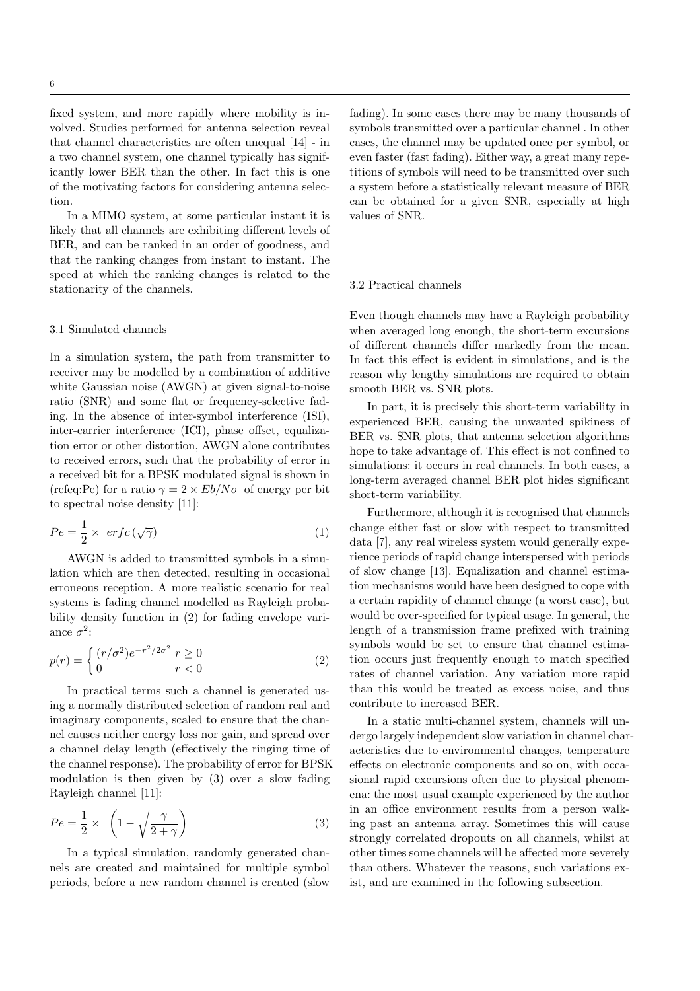fixed system, and more rapidly where mobility is involved. Studies performed for antenna selection reveal that channel characteristics are often unequal [14] - in a two channel system, one channel typically has significantly lower BER than the other. In fact this is one of the motivating factors for considering antenna selection.

In a MIMO system, at some particular instant it is likely that all channels are exhibiting different levels of BER, and can be ranked in an order of goodness, and that the ranking changes from instant to instant. The speed at which the ranking changes is related to the stationarity of the channels.

## 3.1 Simulated channels

In a simulation system, the path from transmitter to receiver may be modelled by a combination of additive white Gaussian noise (AWGN) at given signal-to-noise ratio (SNR) and some flat or frequency-selective fading. In the absence of inter-symbol interference (ISI), inter-carrier interference (ICI), phase offset, equalization error or other distortion, AWGN alone contributes to received errors, such that the probability of error in a received bit for a BPSK modulated signal is shown in (refeq:Pe) for a ratio  $\gamma = 2 \times Eb/N$ o of energy per bit to spectral noise density [11]:

$$
Pe = \frac{1}{2} \times \, erfc\left(\sqrt{\gamma}\right) \tag{1}
$$

AWGN is added to transmitted symbols in a simulation which are then detected, resulting in occasional erroneous reception. A more realistic scenario for real systems is fading channel modelled as Rayleigh probability density function in (2) for fading envelope variance  $\sigma^2$ :

$$
p(r) = \begin{cases} (r/\sigma^2)e^{-r^2/2\sigma^2} & r \ge 0\\ 0 & r < 0 \end{cases}
$$
 (2)

In practical terms such a channel is generated using a normally distributed selection of random real and imaginary components, scaled to ensure that the channel causes neither energy loss nor gain, and spread over a channel delay length (effectively the ringing time of the channel response). The probability of error for BPSK modulation is then given by (3) over a slow fading Rayleigh channel [11]:

$$
Pe = \frac{1}{2} \times \left(1 - \sqrt{\frac{\gamma}{2 + \gamma}}\right) \tag{3}
$$

In a typical simulation, randomly generated channels are created and maintained for multiple symbol periods, before a new random channel is created (slow

fading). In some cases there may be many thousands of symbols transmitted over a particular channel . In other cases, the channel may be updated once per symbol, or even faster (fast fading). Either way, a great many repetitions of symbols will need to be transmitted over such a system before a statistically relevant measure of BER can be obtained for a given SNR, especially at high values of SNR.

## 3.2 Practical channels

Even though channels may have a Rayleigh probability when averaged long enough, the short-term excursions of different channels differ markedly from the mean. In fact this effect is evident in simulations, and is the reason why lengthy simulations are required to obtain smooth BER vs. SNR plots.

In part, it is precisely this short-term variability in experienced BER, causing the unwanted spikiness of BER vs. SNR plots, that antenna selection algorithms hope to take advantage of. This effect is not confined to simulations: it occurs in real channels. In both cases, a long-term averaged channel BER plot hides significant short-term variability.

Furthermore, although it is recognised that channels change either fast or slow with respect to transmitted data [7], any real wireless system would generally experience periods of rapid change interspersed with periods of slow change [13]. Equalization and channel estimation mechanisms would have been designed to cope with a certain rapidity of channel change (a worst case), but would be over-specified for typical usage. In general, the length of a transmission frame prefixed with training symbols would be set to ensure that channel estimation occurs just frequently enough to match specified rates of channel variation. Any variation more rapid than this would be treated as excess noise, and thus contribute to increased BER.

In a static multi-channel system, channels will undergo largely independent slow variation in channel characteristics due to environmental changes, temperature effects on electronic components and so on, with occasional rapid excursions often due to physical phenomena: the most usual example experienced by the author in an office environment results from a person walking past an antenna array. Sometimes this will cause strongly correlated dropouts on all channels, whilst at other times some channels will be affected more severely than others. Whatever the reasons, such variations exist, and are examined in the following subsection.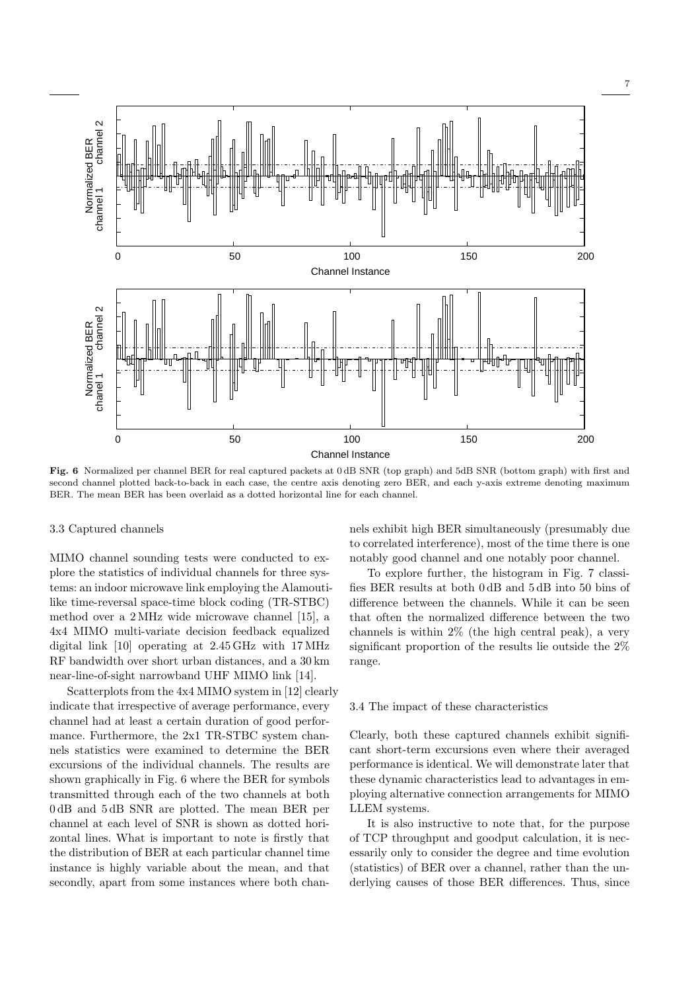

Fig. 6 Normalized per channel BER for real captured packets at 0 dB SNR (top graph) and 5dB SNR (bottom graph) with first and second channel plotted back-to-back in each case, the centre axis denoting zero BER, and each y-axis extreme denoting maximum BER. The mean BER has been overlaid as a dotted horizontal line for each channel.

# 3.3 Captured channels

MIMO channel sounding tests were conducted to explore the statistics of individual channels for three systems: an indoor microwave link employing the Alamoutilike time-reversal space-time block coding (TR-STBC) method over a 2 MHz wide microwave channel [15], a 4x4 MIMO multi-variate decision feedback equalized digital link [10] operating at 2.45 GHz with 17 MHz RF bandwidth over short urban distances, and a 30 km near-line-of-sight narrowband UHF MIMO link [14].

Scatterplots from the 4x4 MIMO system in [12] clearly indicate that irrespective of average performance, every channel had at least a certain duration of good performance. Furthermore, the 2x1 TR-STBC system channels statistics were examined to determine the BER excursions of the individual channels. The results are shown graphically in Fig. 6 where the BER for symbols transmitted through each of the two channels at both 0 dB and 5 dB SNR are plotted. The mean BER per channel at each level of SNR is shown as dotted horizontal lines. What is important to note is firstly that the distribution of BER at each particular channel time instance is highly variable about the mean, and that secondly, apart from some instances where both channels exhibit high BER simultaneously (presumably due to correlated interference), most of the time there is one notably good channel and one notably poor channel.

To explore further, the histogram in Fig. 7 classifies BER results at both 0 dB and 5 dB into 50 bins of difference between the channels. While it can be seen that often the normalized difference between the two channels is within 2% (the high central peak), a very significant proportion of the results lie outside the 2% range.

# 3.4 The impact of these characteristics

Clearly, both these captured channels exhibit significant short-term excursions even where their averaged performance is identical. We will demonstrate later that these dynamic characteristics lead to advantages in employing alternative connection arrangements for MIMO LLEM systems.

It is also instructive to note that, for the purpose of TCP throughput and goodput calculation, it is necessarily only to consider the degree and time evolution (statistics) of BER over a channel, rather than the underlying causes of those BER differences. Thus, since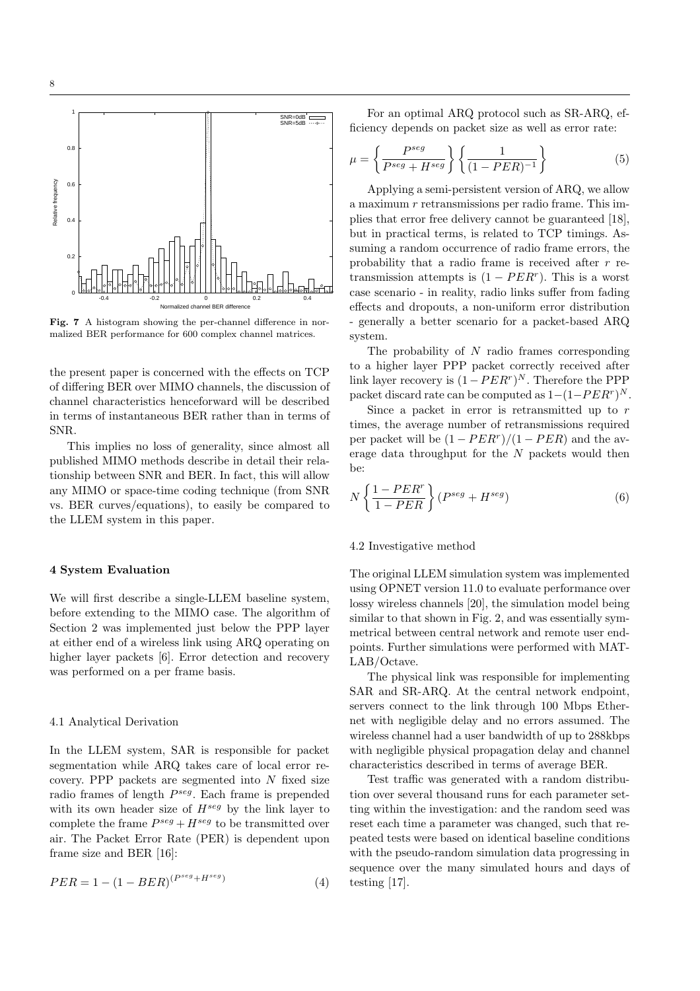

Fig. 7 A histogram showing the per-channel difference in normalized BER performance for 600 complex channel matrices.

the present paper is concerned with the effects on TCP of differing BER over MIMO channels, the discussion of channel characteristics henceforward will be described in terms of instantaneous BER rather than in terms of SNR.

This implies no loss of generality, since almost all published MIMO methods describe in detail their relationship between SNR and BER. In fact, this will allow any MIMO or space-time coding technique (from SNR vs. BER curves/equations), to easily be compared to the LLEM system in this paper.

#### 4 System Evaluation

We will first describe a single-LLEM baseline system, before extending to the MIMO case. The algorithm of Section 2 was implemented just below the PPP layer at either end of a wireless link using ARQ operating on higher layer packets [6]. Error detection and recovery was performed on a per frame basis.

#### 4.1 Analytical Derivation

In the LLEM system, SAR is responsible for packet segmentation while ARQ takes care of local error recovery. PPP packets are segmented into  $N$  fixed size radio frames of length  $P^{seg}$ . Each frame is prepended with its own header size of  $H^{seg}$  by the link layer to complete the frame  $P^{seg} + H^{seg}$  to be transmitted over air. The Packet Error Rate (PER) is dependent upon frame size and BER [16]:

$$
PER = 1 - (1 - BER)^{(P^{seg} + H^{seg})}
$$
\n
$$
\tag{4}
$$

For an optimal ARQ protocol such as SR-ARQ, efficiency depends on packet size as well as error rate:

$$
\mu = \left\{ \frac{P^{seg}}{P^{seg} + H^{seg}} \right\} \left\{ \frac{1}{(1 - PER)^{-1}} \right\} \tag{5}
$$

Applying a semi-persistent version of ARQ, we allow a maximum  $r$  retransmissions per radio frame. This implies that error free delivery cannot be guaranteed [18], but in practical terms, is related to TCP timings. Assuming a random occurrence of radio frame errors, the probability that a radio frame is received after  $r$  retransmission attempts is  $(1 - PER<sup>r</sup>)$ . This is a worst case scenario - in reality, radio links suffer from fading effects and dropouts, a non-uniform error distribution - generally a better scenario for a packet-based ARQ system.

The probability of  $N$  radio frames corresponding to a higher layer PPP packet correctly received after link layer recovery is  $(1 - PER<sup>r</sup>)<sup>N</sup>$ . Therefore the PPP packet discard rate can be computed as  $1-(1-PER<sup>r</sup>)<sup>N</sup>$ .

Since a packet in error is retransmitted up to  $r$ times, the average number of retransmissions required per packet will be  $(1 - PER<sup>r</sup>)/(1 - PER)$  and the average data throughput for the  $N$  packets would then be:

$$
N\left\{\frac{1 - PER^r}{1 - PER}\right\}(P^{seg} + H^{seg})\tag{6}
$$

# 4.2 Investigative method

The original LLEM simulation system was implemented using OPNET version 11.0 to evaluate performance over lossy wireless channels [20], the simulation model being similar to that shown in Fig. 2, and was essentially symmetrical between central network and remote user endpoints. Further simulations were performed with MAT-LAB/Octave.

The physical link was responsible for implementing SAR and SR-ARQ. At the central network endpoint, servers connect to the link through 100 Mbps Ethernet with negligible delay and no errors assumed. The wireless channel had a user bandwidth of up to 288kbps with negligible physical propagation delay and channel characteristics described in terms of average BER.

Test traffic was generated with a random distribution over several thousand runs for each parameter setting within the investigation: and the random seed was reset each time a parameter was changed, such that repeated tests were based on identical baseline conditions with the pseudo-random simulation data progressing in sequence over the many simulated hours and days of testing [17].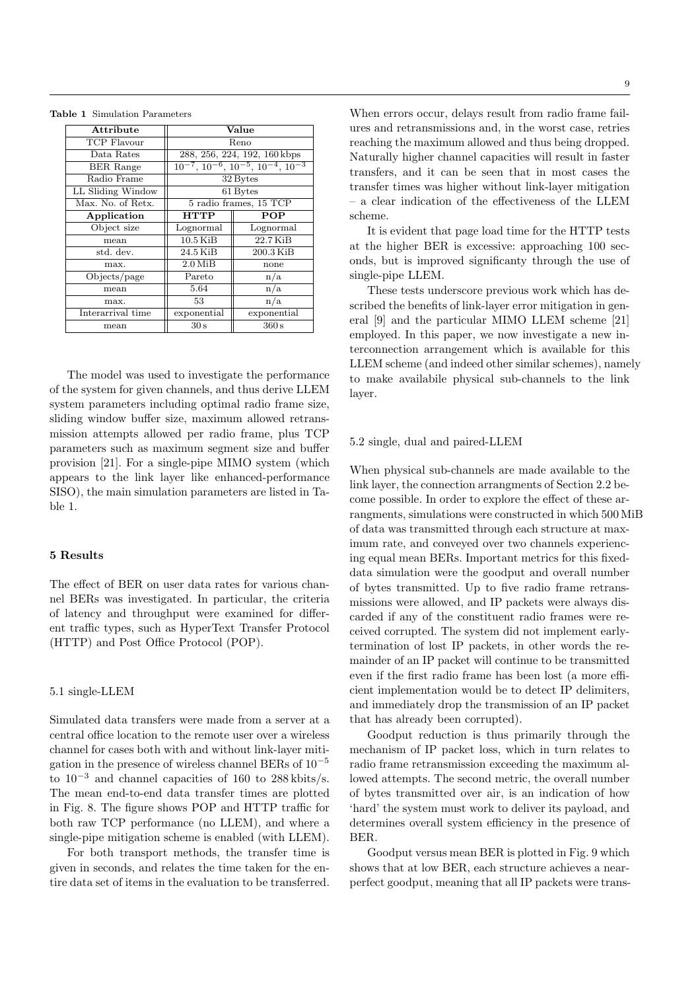|  | <b>Table 1</b> Simulation Parameters |
|--|--------------------------------------|
|  |                                      |

| Attribute          | Value                                                     |             |  |
|--------------------|-----------------------------------------------------------|-------------|--|
| <b>TCP Flavour</b> | Reno                                                      |             |  |
| Data Rates         | 288, 256, 224, 192, 160 kbps                              |             |  |
| <b>BER</b> Range   | $10^{-7}$ , $10^{-6}$ , $10^{-5}$ , $10^{-4}$ , $10^{-3}$ |             |  |
| Radio Frame        | 32 Bytes                                                  |             |  |
| LL Sliding Window  | 61 Bytes                                                  |             |  |
| Max. No. of Retx.  | 5 radio frames, 15 TCP                                    |             |  |
| Application        | <b>HTTP</b>                                               | POP         |  |
| Object size        | Lognormal                                                 | Lognormal   |  |
| mean               | $10.5$ KiB                                                | 22.7 KiB    |  |
| std. dev.          | 24.5 KiB                                                  | 200.3 KiB   |  |
| max.               | $2.0$ MiB                                                 | none        |  |
| Objects/page       | Pareto                                                    | n/a         |  |
| mean               | 5.64                                                      | n/a         |  |
| max.               | 53                                                        | n/a         |  |
| Interarrival time  | exponential                                               | exponential |  |
| mean               | 30 s                                                      | 360 s       |  |

The model was used to investigate the performance of the system for given channels, and thus derive LLEM system parameters including optimal radio frame size, sliding window buffer size, maximum allowed retransmission attempts allowed per radio frame, plus TCP parameters such as maximum segment size and buffer provision [21]. For a single-pipe MIMO system (which appears to the link layer like enhanced-performance SISO), the main simulation parameters are listed in Table 1.

# 5 Results

The effect of BER on user data rates for various channel BERs was investigated. In particular, the criteria of latency and throughput were examined for different traffic types, such as HyperText Transfer Protocol (HTTP) and Post Office Protocol (POP).

# 5.1 single-LLEM

Simulated data transfers were made from a server at a central office location to the remote user over a wireless channel for cases both with and without link-layer mitigation in the presence of wireless channel BERs of  $10^{-5}$ to  $10^{-3}$  and channel capacities of 160 to 288 kbits/s. The mean end-to-end data transfer times are plotted in Fig. 8. The figure shows POP and HTTP traffic for both raw TCP performance (no LLEM), and where a single-pipe mitigation scheme is enabled (with LLEM).

For both transport methods, the transfer time is given in seconds, and relates the time taken for the entire data set of items in the evaluation to be transferred.

When errors occur, delays result from radio frame failures and retransmissions and, in the worst case, retries reaching the maximum allowed and thus being dropped. Naturally higher channel capacities will result in faster transfers, and it can be seen that in most cases the transfer times was higher without link-layer mitigation – a clear indication of the effectiveness of the LLEM scheme.

It is evident that page load time for the HTTP tests at the higher BER is excessive: approaching 100 seconds, but is improved significanty through the use of single-pipe LLEM.

These tests underscore previous work which has described the benefits of link-layer error mitigation in general [9] and the particular MIMO LLEM scheme [21] employed. In this paper, we now investigate a new interconnection arrangement which is available for this LLEM scheme (and indeed other similar schemes), namely to make availabile physical sub-channels to the link layer.

# 5.2 single, dual and paired-LLEM

When physical sub-channels are made available to the link layer, the connection arrangments of Section 2.2 become possible. In order to explore the effect of these arrangments, simulations were constructed in which 500 MiB of data was transmitted through each structure at maximum rate, and conveyed over two channels experiencing equal mean BERs. Important metrics for this fixeddata simulation were the goodput and overall number of bytes transmitted. Up to five radio frame retransmissions were allowed, and IP packets were always discarded if any of the constituent radio frames were received corrupted. The system did not implement earlytermination of lost IP packets, in other words the remainder of an IP packet will continue to be transmitted even if the first radio frame has been lost (a more efficient implementation would be to detect IP delimiters, and immediately drop the transmission of an IP packet that has already been corrupted).

Goodput reduction is thus primarily through the mechanism of IP packet loss, which in turn relates to radio frame retransmission exceeding the maximum allowed attempts. The second metric, the overall number of bytes transmitted over air, is an indication of how 'hard' the system must work to deliver its payload, and determines overall system efficiency in the presence of BER.

Goodput versus mean BER is plotted in Fig. 9 which shows that at low BER, each structure achieves a nearperfect goodput, meaning that all IP packets were trans-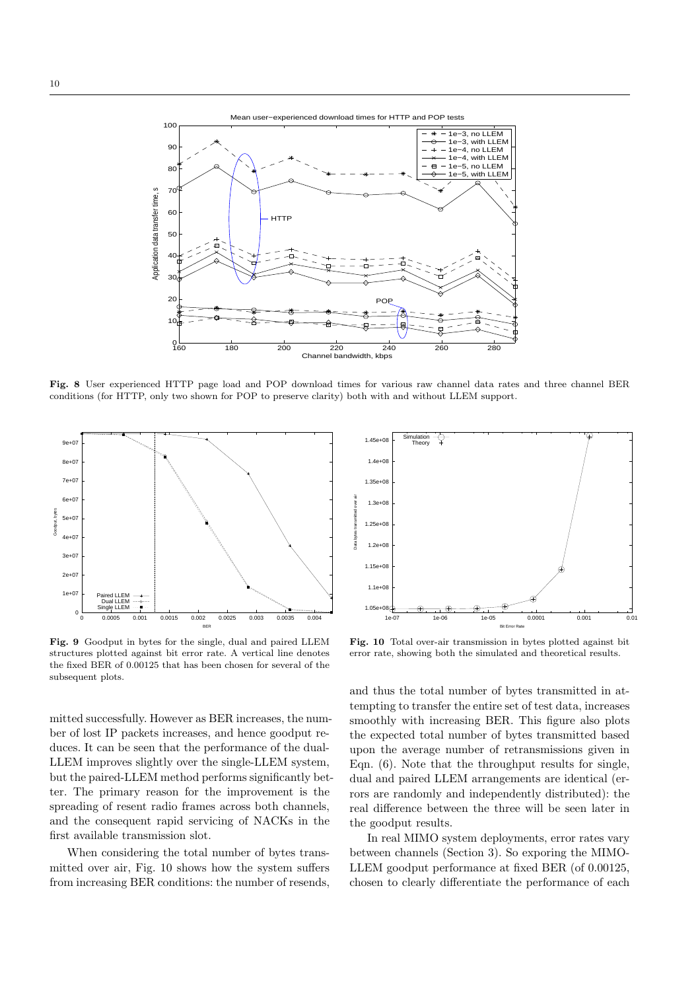

Fig. 8 User experienced HTTP page load and POP download times for various raw channel data rates and three channel BER conditions (for HTTP, only two shown for POP to preserve clarity) both with and without LLEM support.



Fig. 9 Goodput in bytes for the single, dual and paired LLEM structures plotted against bit error rate. A vertical line denotes the fixed BER of 0.00125 that has been chosen for several of the subsequent plots.

mitted successfully. However as BER increases, the number of lost IP packets increases, and hence goodput reduces. It can be seen that the performance of the dual-LLEM improves slightly over the single-LLEM system, but the paired-LLEM method performs significantly better. The primary reason for the improvement is the spreading of resent radio frames across both channels, and the consequent rapid servicing of NACKs in the first available transmission slot.

When considering the total number of bytes transmitted over air, Fig. 10 shows how the system suffers from increasing BER conditions: the number of resends,



Fig. 10 Total over-air transmission in bytes plotted against bit error rate, showing both the simulated and theoretical results.

and thus the total number of bytes transmitted in attempting to transfer the entire set of test data, increases smoothly with increasing BER. This figure also plots the expected total number of bytes transmitted based upon the average number of retransmissions given in Eqn. (6). Note that the throughput results for single, dual and paired LLEM arrangements are identical (errors are randomly and independently distributed): the real difference between the three will be seen later in the goodput results.

In real MIMO system deployments, error rates vary between channels (Section 3). So exporing the MIMO-LLEM goodput performance at fixed BER (of 0.00125, chosen to clearly differentiate the performance of each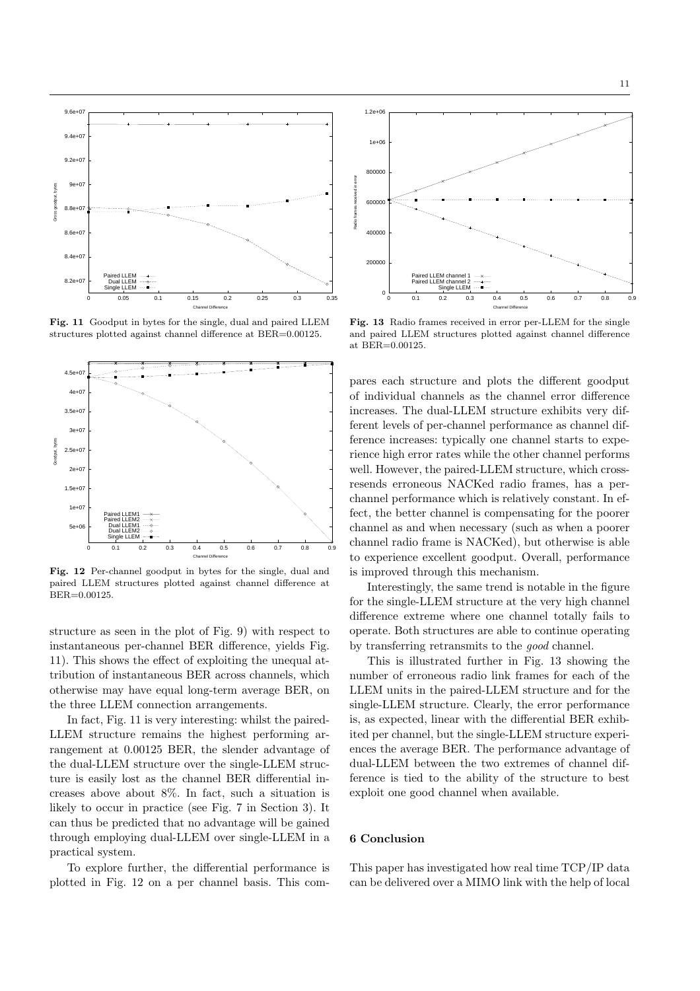

Fig. 11 Goodput in bytes for the single, dual and paired LLEM structures plotted against channel difference at BER=0.00125.



Fig. 12 Per-channel goodput in bytes for the single, dual and paired LLEM structures plotted against channel difference at BER=0.00125.

structure as seen in the plot of Fig. 9) with respect to instantaneous per-channel BER difference, yields Fig. 11). This shows the effect of exploiting the unequal attribution of instantaneous BER across channels, which otherwise may have equal long-term average BER, on the three LLEM connection arrangements.

In fact, Fig. 11 is very interesting: whilst the paired-LLEM structure remains the highest performing arrangement at 0.00125 BER, the slender advantage of the dual-LLEM structure over the single-LLEM structure is easily lost as the channel BER differential increases above about 8%. In fact, such a situation is likely to occur in practice (see Fig. 7 in Section 3). It can thus be predicted that no advantage will be gained through employing dual-LLEM over single-LLEM in a practical system.

To explore further, the differential performance is plotted in Fig. 12 on a per channel basis. This com-



Fig. 13 Radio frames received in error per-LLEM for the single and paired LLEM structures plotted against channel difference at BER=0.00125.

pares each structure and plots the different goodput of individual channels as the channel error difference increases. The dual-LLEM structure exhibits very different levels of per-channel performance as channel difference increases: typically one channel starts to experience high error rates while the other channel performs well. However, the paired-LLEM structure, which crossresends erroneous NACKed radio frames, has a perchannel performance which is relatively constant. In effect, the better channel is compensating for the poorer channel as and when necessary (such as when a poorer channel radio frame is NACKed), but otherwise is able to experience excellent goodput. Overall, performance is improved through this mechanism.

Interestingly, the same trend is notable in the figure for the single-LLEM structure at the very high channel difference extreme where one channel totally fails to operate. Both structures are able to continue operating by transferring retransmits to the good channel.

This is illustrated further in Fig. 13 showing the number of erroneous radio link frames for each of the LLEM units in the paired-LLEM structure and for the single-LLEM structure. Clearly, the error performance is, as expected, linear with the differential BER exhibited per channel, but the single-LLEM structure experiences the average BER. The performance advantage of dual-LLEM between the two extremes of channel difference is tied to the ability of the structure to best exploit one good channel when available.

# 6 Conclusion

This paper has investigated how real time TCP/IP data can be delivered over a MIMO link with the help of local